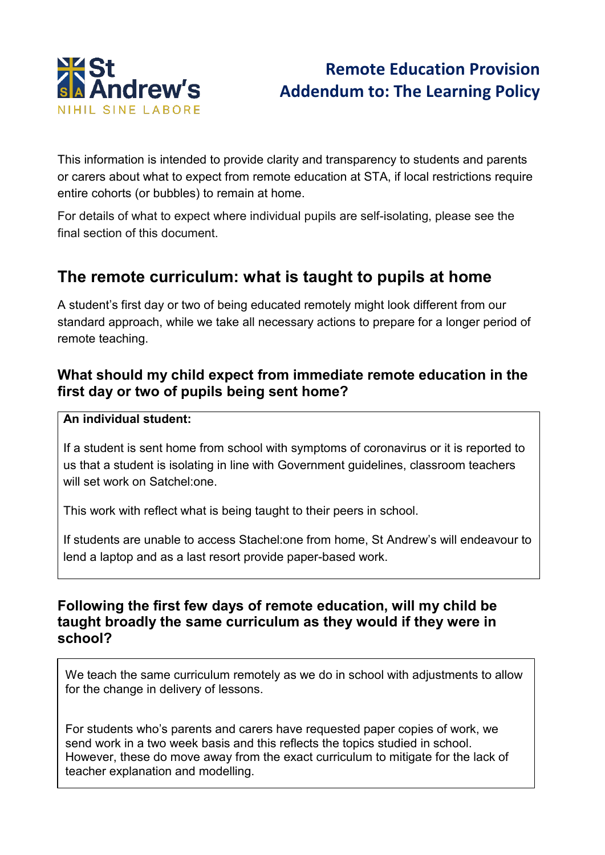

# **Remote Education Provision Addendum to: The Learning Policy**

This information is intended to provide clarity and transparency to students and parents or carers about what to expect from remote education at STA, if local restrictions require entire cohorts (or bubbles) to remain at home.

For details of what to expect where individual pupils are self-isolating, please see the final section of this document.

## **The remote curriculum: what is taught to pupils at home**

A student's first day or two of being educated remotely might look different from our standard approach, while we take all necessary actions to prepare for a longer period of remote teaching.

## **What should my child expect from immediate remote education in the first day or two of pupils being sent home?**

#### **An individual student:**

If a student is sent home from school with symptoms of coronavirus or it is reported to us that a student is isolating in line with Government guidelines, classroom teachers will set work on Satchel:one.

This work with reflect what is being taught to their peers in school.

If students are unable to access Stachel:one from home, St Andrew's will endeavour to lend a laptop and as a last resort provide paper-based work.

### **Following the first few days of remote education, will my child be taught broadly the same curriculum as they would if they were in school?**

We teach the same curriculum remotely as we do in school with adjustments to allow for the change in delivery of lessons.

For students who's parents and carers have requested paper copies of work, we send work in a two week basis and this reflects the topics studied in school. However, these do move away from the exact curriculum to mitigate for the lack of teacher explanation and modelling.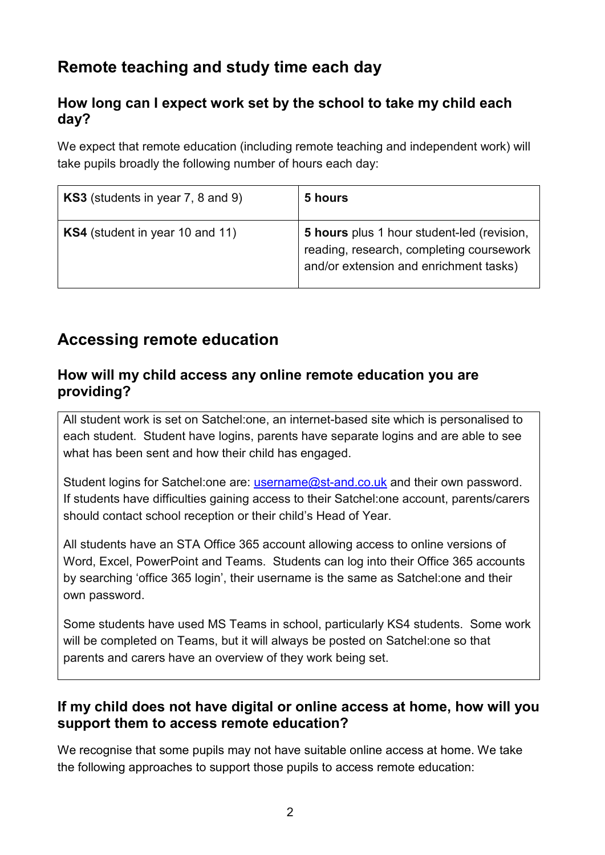# **Remote teaching and study time each day**

## **How long can I expect work set by the school to take my child each day?**

We expect that remote education (including remote teaching and independent work) will take pupils broadly the following number of hours each day:

| KS3 (students in year 7, 8 and 9) | 5 hours                                                                                                                          |
|-----------------------------------|----------------------------------------------------------------------------------------------------------------------------------|
| KS4 (student in year 10 and 11)   | 5 hours plus 1 hour student-led (revision,<br>reading, research, completing coursework<br>and/or extension and enrichment tasks) |

## **Accessing remote education**

## **How will my child access any online remote education you are providing?**

All student work is set on Satchel:one, an internet-based site which is personalised to each student. Student have logins, parents have separate logins and are able to see what has been sent and how their child has engaged.

Student logins for Satchel: one are: [username@st-and.co.uk](mailto:username@st-and.co.uk) and their own password. If students have difficulties gaining access to their Satchel:one account, parents/carers should contact school reception or their child's Head of Year.

All students have an STA Office 365 account allowing access to online versions of Word, Excel, PowerPoint and Teams. Students can log into their Office 365 accounts by searching 'office 365 login', their username is the same as Satchel:one and their own password.

Some students have used MS Teams in school, particularly KS4 students. Some work will be completed on Teams, but it will always be posted on Satchel:one so that parents and carers have an overview of they work being set.

## **If my child does not have digital or online access at home, how will you support them to access remote education?**

We recognise that some pupils may not have suitable online access at home. We take the following approaches to support those pupils to access remote education: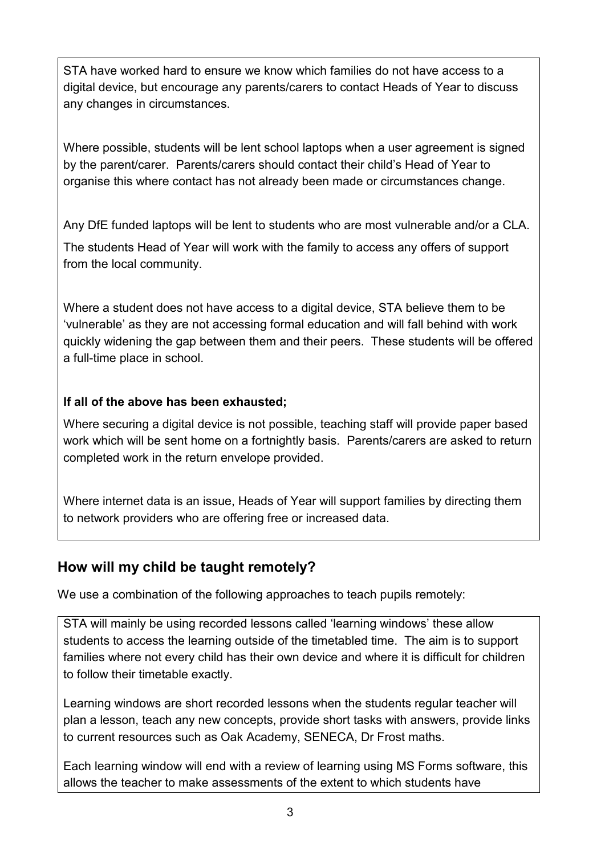STA have worked hard to ensure we know which families do not have access to a digital device, but encourage any parents/carers to contact Heads of Year to discuss any changes in circumstances.

Where possible, students will be lent school laptops when a user agreement is signed by the parent/carer. Parents/carers should contact their child's Head of Year to organise this where contact has not already been made or circumstances change.

Any DfE funded laptops will be lent to students who are most vulnerable and/or a CLA. The students Head of Year will work with the family to access any offers of support from the local community.

Where a student does not have access to a digital device, STA believe them to be 'vulnerable' as they are not accessing formal education and will fall behind with work quickly widening the gap between them and their peers. These students will be offered a full-time place in school.

### **If all of the above has been exhausted;**

Where securing a digital device is not possible, teaching staff will provide paper based work which will be sent home on a fortnightly basis. Parents/carers are asked to return completed work in the return envelope provided.

Where internet data is an issue, Heads of Year will support families by directing them to network providers who are offering free or increased data.

## **How will my child be taught remotely?**

We use a combination of the following approaches to teach pupils remotely:

STA will mainly be using recorded lessons called 'learning windows' these allow students to access the learning outside of the timetabled time. The aim is to support families where not every child has their own device and where it is difficult for children to follow their timetable exactly.

Learning windows are short recorded lessons when the students regular teacher will plan a lesson, teach any new concepts, provide short tasks with answers, provide links to current resources such as Oak Academy, SENECA, Dr Frost maths.

Each learning window will end with a review of learning using MS Forms software, this allows the teacher to make assessments of the extent to which students have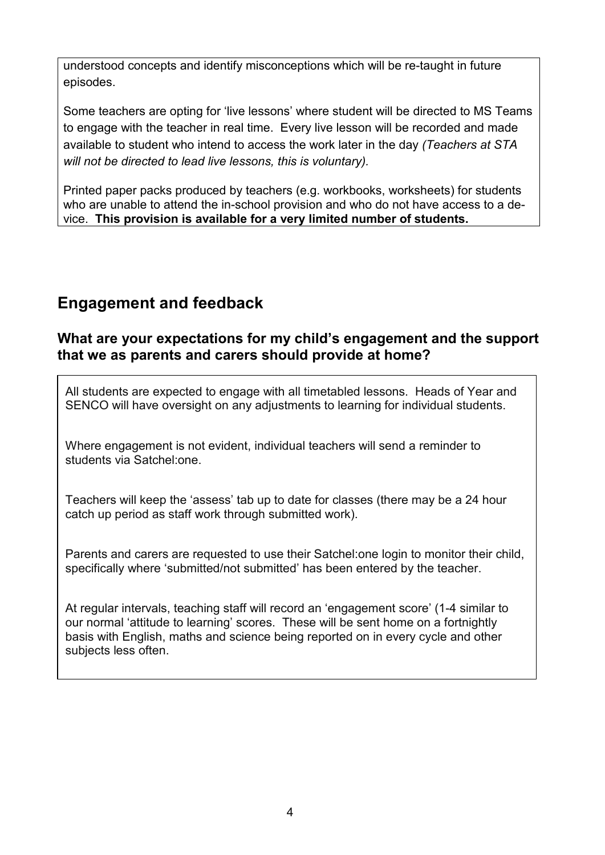understood concepts and identify misconceptions which will be re-taught in future episodes.

Some teachers are opting for 'live lessons' where student will be directed to MS Teams to engage with the teacher in real time. Every live lesson will be recorded and made available to student who intend to access the work later in the day *(Teachers at STA will not be directed to lead live lessons, this is voluntary).*

Printed paper packs produced by teachers (e.g. workbooks, worksheets) for students who are unable to attend the in-school provision and who do not have access to a device. **This provision is available for a very limited number of students.**

## **Engagement and feedback**

## **What are your expectations for my child's engagement and the support that we as parents and carers should provide at home?**

All students are expected to engage with all timetabled lessons. Heads of Year and SENCO will have oversight on any adjustments to learning for individual students.

Where engagement is not evident, individual teachers will send a reminder to students via Satchel:one.

Teachers will keep the 'assess' tab up to date for classes (there may be a 24 hour catch up period as staff work through submitted work).

Parents and carers are requested to use their Satchel:one login to monitor their child, specifically where 'submitted/not submitted' has been entered by the teacher.

At regular intervals, teaching staff will record an 'engagement score' (1-4 similar to our normal 'attitude to learning' scores. These will be sent home on a fortnightly basis with English, maths and science being reported on in every cycle and other subjects less often.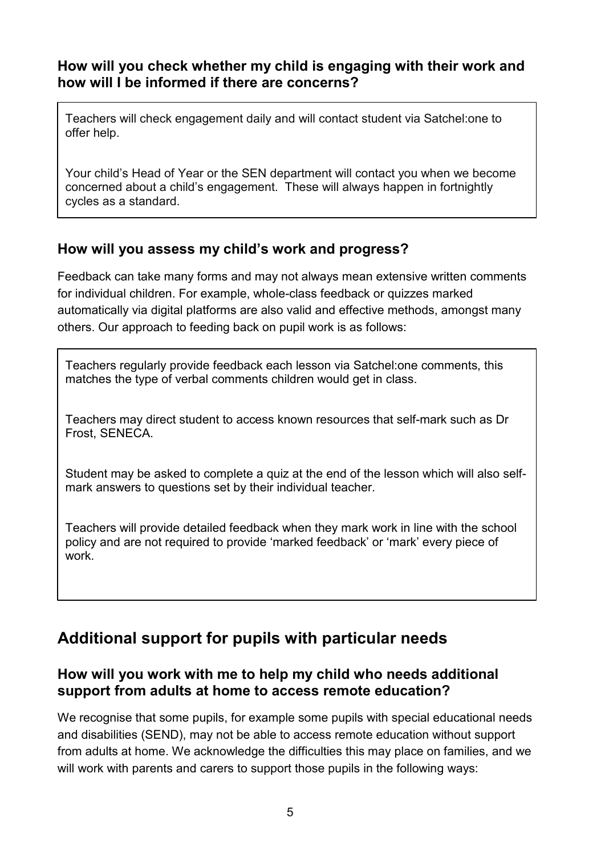## **How will you check whether my child is engaging with their work and how will I be informed if there are concerns?**

Teachers will check engagement daily and will contact student via Satchel:one to offer help.

Your child's Head of Year or the SEN department will contact you when we become concerned about a child's engagement. These will always happen in fortnightly cycles as a standard.

## **How will you assess my child's work and progress?**

Feedback can take many forms and may not always mean extensive written comments for individual children. For example, whole-class feedback or quizzes marked automatically via digital platforms are also valid and effective methods, amongst many others. Our approach to feeding back on pupil work is as follows:

Teachers regularly provide feedback each lesson via Satchel:one comments, this matches the type of verbal comments children would get in class.

Teachers may direct student to access known resources that self-mark such as Dr Frost, SENECA.

Student may be asked to complete a quiz at the end of the lesson which will also selfmark answers to questions set by their individual teacher.

Teachers will provide detailed feedback when they mark work in line with the school policy and are not required to provide 'marked feedback' or 'mark' every piece of work.

# **Additional support for pupils with particular needs**

## **How will you work with me to help my child who needs additional support from adults at home to access remote education?**

We recognise that some pupils, for example some pupils with special educational needs and disabilities (SEND), may not be able to access remote education without support from adults at home. We acknowledge the difficulties this may place on families, and we will work with parents and carers to support those pupils in the following ways: